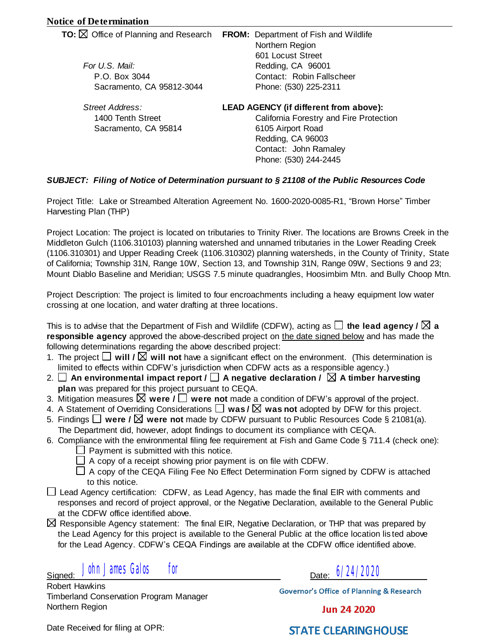# **Notice of Determination**

| <b>TO:</b> $\boxtimes$ Office of Planning and Research | FROM: Department of Fish and Wildlife<br>Northern Region |
|--------------------------------------------------------|----------------------------------------------------------|
|                                                        | 601 Locust Street                                        |
| For U.S. Mail:                                         | Redding, CA 96001                                        |
| P.O. Box 3044                                          | Contact: Robin Fallscheer                                |
| Sacramento, CA 95812-3044                              | Phone: (530) 225-2311                                    |
| Street Address:                                        | <b>LEAD AGENCY (if different from above):</b>            |
| 1400 Tenth Street                                      | California Forestry and Fire Protection                  |
| Sacramento, CA 95814                                   | 6105 Airport Road                                        |
|                                                        | Redding, CA 96003                                        |
|                                                        |                                                          |

# *SUBJECT: Filing of Notice of Determination pursuant to § 21108 of the Public Resources Code*

Contact: John Ramaley Phone: (530) 244-2445

Project Title: Lake or Streambed Alteration Agreement No. 1600-2020-0085-R1, "Brown Horse" Timber Harvesting Plan (THP)

Project Location: The project is located on tributaries to Trinity River. The locations are Browns Creek in the Middleton Gulch (1106.310103) planning watershed and unnamed tributaries in the Lower Reading Creek (1106.310301) and Upper Reading Creek (1106.310302) planning watersheds, in the County of Trinity, State of California; Township 31N, Range 10W, Section 13, and Township 31N, Range 09W, Sections 9 and 23; Mount Diablo Baseline and Meridian; USGS 7.5 minute quadrangles, Hoosimbim Mtn. and Bully Choop Mtn.

Project Description: The project is limited to four encroachments including a heavy equipment low water crossing at one location, and water drafting at three locations.

This is to advise that the Department of Fish and Wildlife (CDFW), acting as **□ the lead agency / △ a responsible agency** approved the above-described project on the date signed below and has made the following determinations regarding the above described project:

- 1. The project  $\Box$  will /  $\boxtimes$  will not have a significant effect on the environment. (This determination is limited to effects within CDFW's jurisdiction when CDFW acts as a responsible agency.)
- 2.  $□$  An environmental impact report /  $□$  A negative declaration /  $□$  A timber harvesting **plan** was prepared for this project pursuant to CEQA.
- 3. Mitigation measures **were / were not** made a condition of DFW's approval of the project. □
- 4. A Statement of Overriding Considerations **was / was not** adopted by DFW for this project. □
- 5. Findings  $\Box$  were /  $\boxtimes$  were not made by CDFW pursuant to Public Resources Code § 21081(a). The Department did, however, adopt findings to document its compliance with CEQA.
- 6. Compliance with the environmental filing fee requirement at Fish and Game Code § 711.4 (check one):  $\Box$  Payment is submitted with this notice.
	- $\Box$  A copy of a receipt showing prior payment is on file with CDFW.
	- $\Box$  A copy of the CEQA Filing Fee No Effect Determination Form signed by CDFW is attached to this notice.
- □ Lead Agency certification: CDFW, as Lead Agency, has made the final EIR with comments and lead a particle in responses and record of project approval, or the Negative Declaration, available to the General Public at the CDFW office identified above.
- $\boxtimes$  Responsible Agency statement: The final EIR, Negative Declaration, or THP that was prepared by the Lead Agency for this project is available to the General Public at the office location lis ted above for the Lead Agency. CDFW's CEQA Findings are available at the CDFW office identified above.

Signed: Date: Date: Date: John James Galos for **6/24/2020** 

Robert Hawkins Timberland Conservation Program Manager Northern Region

**Governor's Office of Planning & Research** 

**Jun 24 2020** 

Date Received for filing at OPR:

**STATE CLEARINGHOUSE**